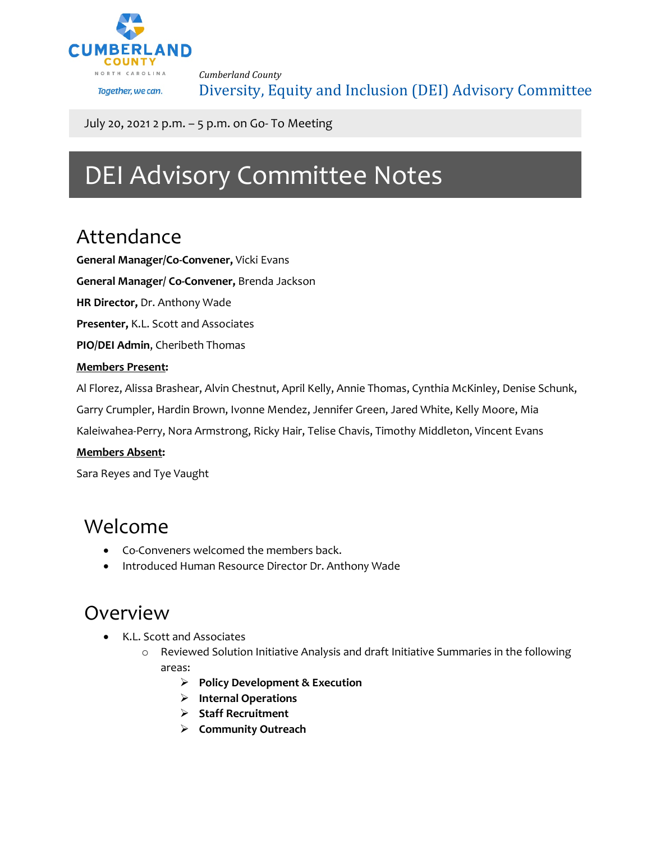

*Cumberland County* Diversity, Equity and Inclusion (DEI) Advisory Committee

July 20, 2021 2 p.m. – 5 p.m. on Go- To Meeting

# DEI Advisory Committee Notes

## Attendance

**General Manager/Co-Convener,** Vicki Evans

**General Manager/ Co-Convener,** Brenda Jackson

**HR Director,** Dr. Anthony Wade

**Presenter,** K.L. Scott and Associates

**PIO/DEI Admin**, Cheribeth Thomas

#### **Members Present:**

Al Florez, Alissa Brashear, Alvin Chestnut, April Kelly, Annie Thomas, Cynthia McKinley, Denise Schunk,

Garry Crumpler, Hardin Brown, Ivonne Mendez, Jennifer Green, Jared White, Kelly Moore, Mia

Kaleiwahea-Perry, Nora Armstrong, Ricky Hair, Telise Chavis, Timothy Middleton, Vincent Evans

#### **Members Absent:**

Sara Reyes and Tye Vaught

### Welcome

- Co-Conveners welcomed the members back.
- Introduced Human Resource Director Dr. Anthony Wade

### Overview

- K.L. Scott and Associates
	- o Reviewed Solution Initiative Analysis and draft Initiative Summaries in the following areas:
		- **Policy Development & Execution**
		- **Internal Operations**
		- **Staff Recruitment**
		- **Community Outreach**